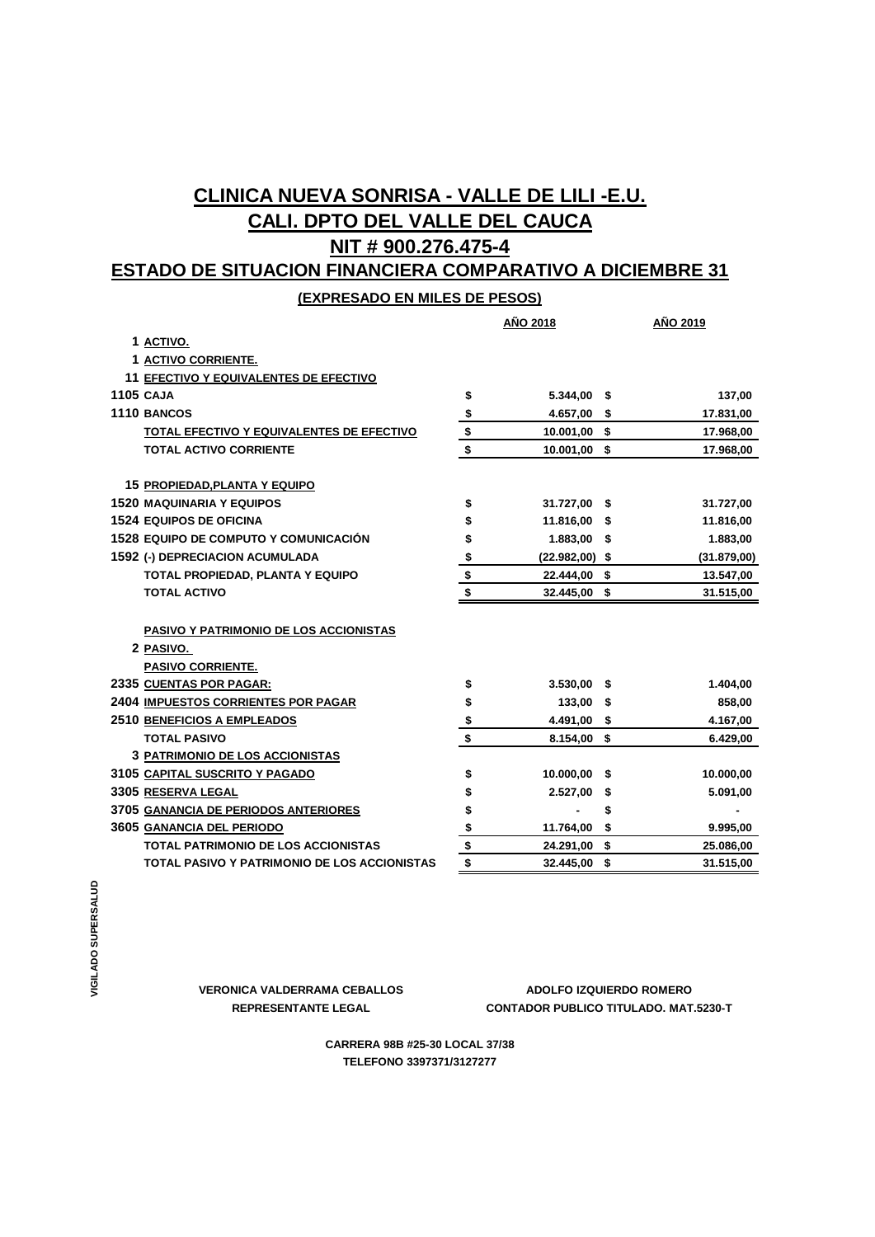## **CLINICA NUEVA SONRISA - VALLE DE LILI -E.U. CALI. DPTO DEL VALLE DEL CAUCA NIT # 900.276.475-4**

# **ESTADO DE SITUACION FINANCIERA COMPARATIVO A DICIEMBRE 31**

**(EXPRESADO EN MILES DE PESOS)**

|                                                                                 | AÑO 2018      |                  | AÑO 2019        |  |
|---------------------------------------------------------------------------------|---------------|------------------|-----------------|--|
| 1 ACTIVO.                                                                       |               |                  |                 |  |
| 1 ACTIVO CORRIENTE.                                                             |               |                  |                 |  |
| 11 EFECTIVO Y EQUIVALENTES DE EFECTIVO                                          |               |                  |                 |  |
| <b>1105 CAJA</b>                                                                | \$            | 5.344,00 \$      | 137,00          |  |
| 1110 BANCOS                                                                     |               | 4.657,00 \$      | 17.831,00       |  |
| <b>TOTAL EFECTIVO Y EQUIVALENTES DE EFECTIVO</b>                                | $\frac{1}{2}$ | 10.001,00 \$     | 17.968,00       |  |
| <b>TOTAL ACTIVO CORRIENTE</b>                                                   | \$            | 10.001,00 \$     | 17.968,00       |  |
| <b>15 PROPIEDAD, PLANTA Y EQUIPO</b>                                            |               |                  |                 |  |
| <b>1520 MAQUINARIA Y EQUIPOS</b>                                                | \$            | 31.727,00 \$     | 31.727,00       |  |
| <b>1524 EQUIPOS DE OFICINA</b>                                                  | \$            | 11.816,00 \$     | 11.816,00       |  |
| <b>1528 EQUIPO DE COMPUTO Y COMUNICACIÓN</b>                                    | \$            | $1.883,00$ \$    | 1.883,00        |  |
| 1592 (-) DEPRECIACION ACUMULADA                                                 | \$            | $(22.982,00)$ \$ | (31.879,00)     |  |
| TOTAL PROPIEDAD, PLANTA Y EQUIPO                                                | \$            | 22.444,00 \$     | 13.547,00       |  |
| <b>TOTAL ACTIVO</b>                                                             | \$            | 32.445,00 \$     | 31.515,00       |  |
| PASIVO Y PATRIMONIO DE LOS ACCIONISTAS<br>2 PASIVO.<br><b>PASIVO CORRIENTE.</b> |               |                  |                 |  |
| 2335 CUENTAS POR PAGAR:                                                         | \$            | $3.530,00$ \$    | 1.404,00        |  |
| <b>2404 IMPUESTOS CORRIENTES POR PAGAR</b>                                      | \$            | 133.00 \$        | 858,00          |  |
| <b>2510 BENEFICIOS A EMPLEADOS</b>                                              | $\frac{1}{2}$ | 4.491,00         | \$<br>4.167,00  |  |
| <b>TOTAL PASIVO</b>                                                             | \$            | 8.154,00         | \$<br>6.429,00  |  |
| <b>3 PATRIMONIO DE LOS ACCIONISTAS</b>                                          |               |                  |                 |  |
| 3105 CAPITAL SUSCRITO Y PAGADO                                                  | \$            | 10.000,00        | \$<br>10.000,00 |  |
| 3305 RESERVA LEGAL                                                              | \$            | $2.527,00$ \$    | 5.091,00        |  |
| 3705 GANANCIA DE PERIODOS ANTERIORES                                            | \$            |                  | \$              |  |
| 3605 GANANCIA DEL PERIODO                                                       | \$            | 11.764,00        | \$<br>9.995,00  |  |
| <b>TOTAL PATRIMONIO DE LOS ACCIONISTAS</b>                                      | \$            | 24.291,00        | \$<br>25.086,00 |  |
| <b>TOTAL PASIVO Y PATRIMONIO DE LOS ACCIONISTAS</b>                             | \$            | 32.445,00        | \$<br>31.515,00 |  |

**REPRESENTANTE LEGAL CONTADOR PUBLICO TITULADO. MAT.5230-T VERONICA VALDERRAMA CEBALLOS ADOLFO IZQUIERDO ROMERO**

> **CARRERA 98B #25-30 LOCAL 37/38 TELEFONO 3397371/3127277**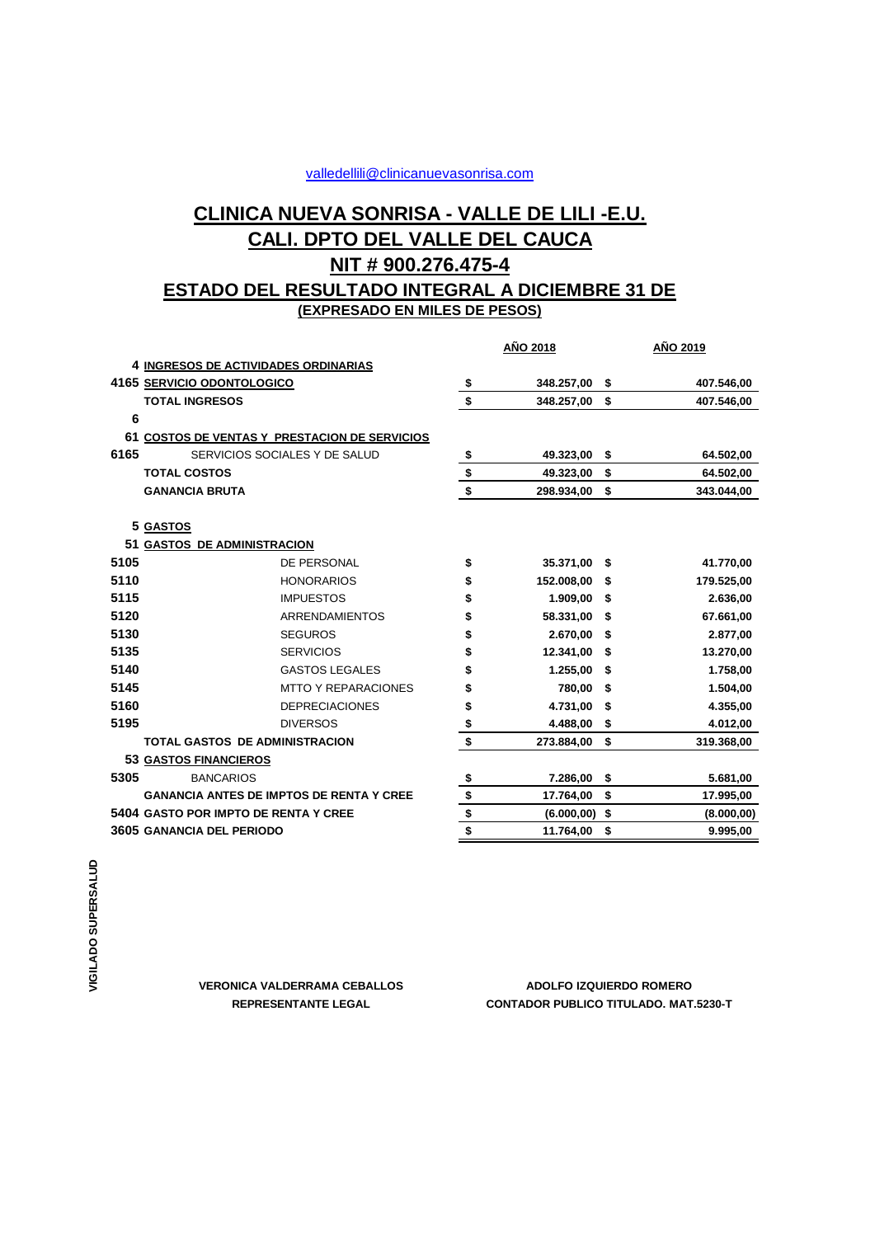### valledellili@clinicanuevasonrisa.com

## **CALI. DPTO DEL VALLE DEL CAUCA CLINICA NUEVA SONRISA - VALLE DE LILI -E.U. NIT # 900.276.475-4 ESTADO DEL RESULTADO INTEGRAL A DICIEMBRE 31 DE**

**(EXPRESADO EN MILES DE PESOS)**

|      |                                                 |                            | AÑO 2018                  |              | <u>AÑO 2019</u> |             |
|------|-------------------------------------------------|----------------------------|---------------------------|--------------|-----------------|-------------|
|      | 4 INGRESOS DE ACTIVIDADES ORDINARIAS            |                            |                           |              |                 |             |
|      | 4165 SERVICIO ODONTOLOGICO                      |                            | $\boldsymbol{\mathsf{s}}$ | 348.257,00   | \$              | 407.546,00  |
|      | <b>TOTAL INGRESOS</b>                           |                            | \$                        | 348.257,00   | \$              | 407.546,00  |
| 6    |                                                 |                            |                           |              |                 |             |
|      | 61 COSTOS DE VENTAS Y PRESTACION DE SERVICIOS   |                            |                           |              |                 |             |
| 6165 | SERVICIOS SOCIALES Y DE SALUD                   |                            | \$                        | 49.323,00 \$ |                 | 64.502,00   |
|      | <b>TOTAL COSTOS</b>                             |                            | \$                        | 49.323,00    | \$              | 64.502,00   |
|      | <b>GANANCIA BRUTA</b>                           |                            | \$                        | 298.934,00   | \$              | 343.044,00  |
|      |                                                 |                            |                           |              |                 |             |
|      | 5 GASTOS                                        |                            |                           |              |                 |             |
| 5105 | 51 GASTOS DE ADMINISTRACION                     |                            |                           |              |                 |             |
|      |                                                 | <b>DE PERSONAL</b>         | \$                        | 35.371,00    | S               | 41.770,00   |
| 5110 |                                                 | <b>HONORARIOS</b>          | \$                        | 152.008,00   | \$              | 179.525,00  |
| 5115 |                                                 | <b>IMPUESTOS</b>           | \$                        | 1.909,00     | \$              | 2.636,00    |
| 5120 |                                                 | <b>ARRENDAMIENTOS</b>      | \$                        | 58.331,00    | \$              | 67.661,00   |
| 5130 |                                                 | <b>SEGUROS</b>             | \$                        | 2.670,00     | \$              | 2.877,00    |
| 5135 |                                                 | <b>SERVICIOS</b>           | \$                        | 12.341,00    | \$              | 13.270,00   |
| 5140 |                                                 | <b>GASTOS LEGALES</b>      | \$                        | 1.255.00     | \$              | 1.758,00    |
| 5145 |                                                 | <b>MTTO Y REPARACIONES</b> | \$                        | 780,00       | \$              | 1.504,00    |
| 5160 |                                                 | <b>DEPRECIACIONES</b>      | \$                        | 4.731,00     | \$              | 4.355,00    |
| 5195 |                                                 | <b>DIVERSOS</b>            | \$                        | 4.488,00     | \$              | 4.012,00    |
|      | <b>TOTAL GASTOS DE ADMINISTRACION</b>           |                            | \$                        | 273.884,00   | \$              | 319.368,00  |
|      | 53 GASTOS FINANCIEROS                           |                            |                           |              |                 |             |
| 5305 | <b>BANCARIOS</b>                                |                            | \$                        | 7.286,00     | \$              | 5.681,00    |
|      | <b>GANANCIA ANTES DE IMPTOS DE RENTA Y CREE</b> |                            | $\frac{1}{2}$<br>\$       | 17.764,00    | \$              | 17.995,00   |
|      | 5404 GASTO POR IMPTO DE RENTA Y CREE            |                            |                           | (6.000, 00)  | \$              | (8.000, 00) |
|      | 3605 GANANCIA DEL PERIODO                       |                            |                           | 11.764,00    | \$              | 9.995,00    |

**VERONICA VALDERRAMA CEBALLOS**

#### **REPRESENTANTE LEGAL CONTADOR PUBLICO TITULADO. MAT.5230-T ADOLFO IZQUIERDO ROMERO**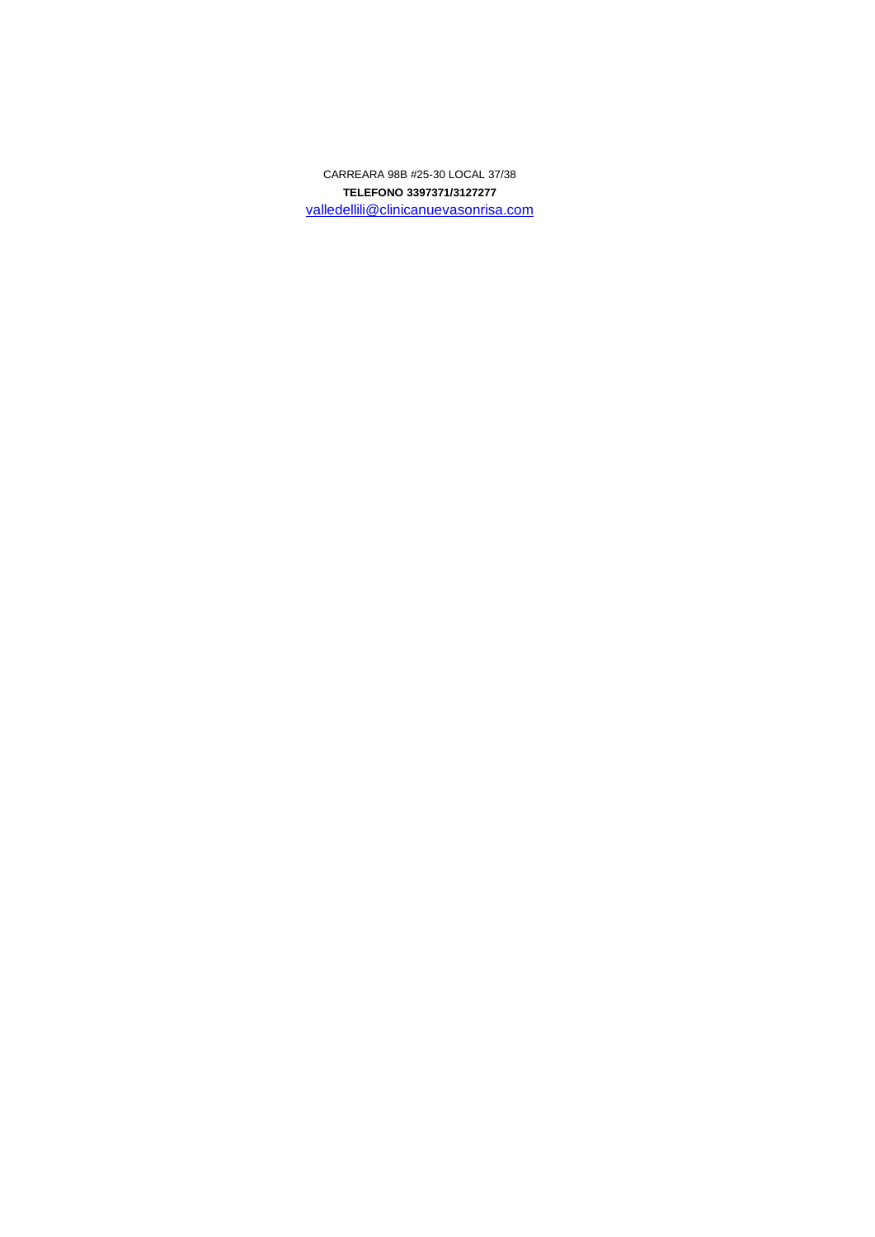**TELEFONO 3397371/3127277** valledellili@clinicanuevasonrisa.com CARREARA 98B #25-30 LOCAL 37/38